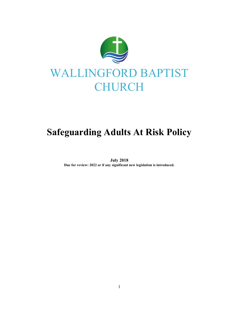

# Safeguarding Adults At Risk Policy

July 2018 Due for review: 2022 or if any significant new legislation is introduced.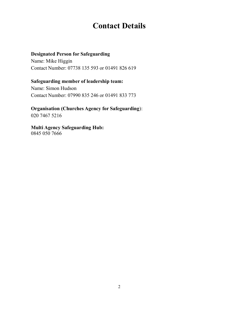## Contact Details

#### Designated Person for Safeguarding

Name: Mike Higgin Contact Number: 07738 135 593 or 01491 826 619

#### Safeguarding member of leadership team:

Name: Simon Hudson Contact Number: 07990 835 246 or 01491 833 773

### Organisation (Churches Agency for Safeguarding):

020 7467 5216

#### Multi Agency Safeguarding Hub: 0845 050 7666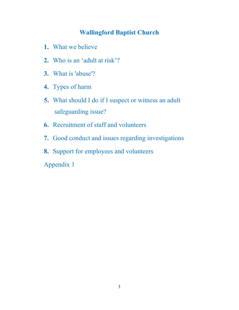### Wallingford Baptist Church

- 1. What we believe
- 2. Who is an 'adult at risk'?
- 3. What is 'abuse'?
- 4. Types of harm
- 5. What should I do if I suspect or witness an adult safeguarding issue?
- 6. Recruitment of staff and volunteers
- 7. Good conduct and issues regarding investigations
- 8. Support for employees and volunteers
- Appendix 1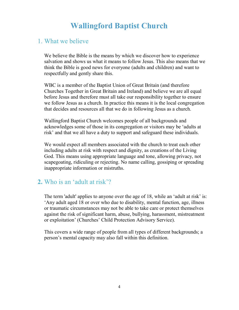# Wallingford Baptist Church

### 1. What we believe

We believe the Bible is the means by which we discover how to experience salvation and shows us what it means to follow Jesus. This also means that we think the Bible is good news for everyone (adults and children) and want to respectfully and gently share this.

WBC is a member of the Baptist Union of Great Britain (and therefore Churches Together in Great Britain and Ireland) and believe we are all equal before Jesus and therefore must all take our responsibility together to ensure we follow Jesus as a church. In practice this means it is the local congregation that decides and resources all that we do in following Jesus as a church.

Wallingford Baptist Church welcomes people of all backgrounds and acknowledges some of those in its congregation or visitors may be 'adults at risk' and that we all have a duty to support and safeguard these individuals.

We would expect all members associated with the church to treat each other including adults at risk with respect and dignity, as creations of the Living God. This means using appropriate language and tone, allowing privacy, not scapegoating, ridiculing or rejecting. No name calling, gossiping or spreading inappropriate information or mistruths.

### 2. Who is an 'adult at risk'?

The term 'adult' applies to anyone over the age of 18, while an 'adult at risk' is: 'Any adult aged 18 or over who due to disability, mental function, age, illness or traumatic circumstances may not be able to take care or protect themselves against the risk of significant harm, abuse, bullying, harassment, mistreatment or exploitation' (Churches' Child Protection Advisory Service).

This covers a wide range of people from all types of different backgrounds; a person's mental capacity may also fall within this definition.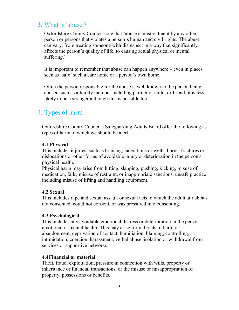### 3. What is 'abuse'?

Oxfordshire County Council note that 'abuse is mistreatment by any other person or persons that violates a person's human and civil rights. The abuse can vary, from treating someone with disrespect in a way that significantly affects the person's quality of life, to causing actual physical or mental suffering.'

It is important to remember that abuse can happen anywhere – even in places seen as 'safe' such a care home or a person's own home.

Often the person responsible for the abuse is well known to the person being abused such as a family member including partner or child, or friend; it is less likely to be a stranger although this is possible too.

### 4. Types of harm

Oxfordshire County Council's Safeguarding Adults Board offer the following as types of harm to which we should be alert.

#### 4.1 Physical

This includes injuries, such as bruising, lacerations or welts, burns, fractures or dislocations or other forms of avoidable injury or deterioration in the person's physical health.

Physical harm may arise from hitting, slapping, pushing, kicking, misuse of medication, falls, misuse of restraint, or inappropriate sanctions, unsafe practice including misuse of lifting and handling equipment.

#### 4.2 Sexual

This includes rape and sexual assault or sexual acts to which the adult at risk has not consented, could not consent, or was pressured into consenting.

#### 4.3 Psychological

This includes any avoidable emotional distress or deterioration in the person's emotional or mental health. This may arise from threats of harm or abandonment, deprivation of contact, humiliation, blaming, controlling, intimidation, coercion, harassment, verbal abuse, isolation or withdrawal from services or supportive networks.

#### 4.4Financial or material

Theft, fraud, exploitation, pressure in connection with wills, property or inheritance or financial transactions, or the misuse or misappropriation of property, possessions or benefits.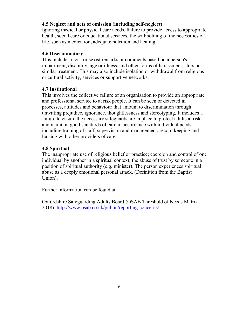#### 4.5 Neglect and acts of omission (including self-neglect)

Ignoring medical or physical care needs, failure to provide access to appropriate health, social care or educational services, the withholding of the necessities of life, such as medication, adequate nutrition and heating.

#### 4.6 Discriminatory

This includes racist or sexist remarks or comments based on a person's impairment, disability, age or illness, and other forms of harassment, slurs or similar treatment. This may also include isolation or withdrawal from religious or cultural activity, services or supportive networks.

#### 4.7 Institutional

This involves the collective failure of an organisation to provide an appropriate and professional service to at risk people. It can be seen or detected in processes, attitudes and behaviour that amount to discrimination through unwitting prejudice, ignorance, thoughtlessness and stereotyping. It includes a failure to ensure the necessary safeguards are in place to protect adults at risk and maintain good standards of care in accordance with individual needs, including training of staff, supervision and management, record keeping and liaising with other providers of care.

#### 4.8 Spiritual

The inappropriate use of religious belief or practice; coercion and control of one individual by another in a spiritual context; the abuse of trust by someone in a position of spiritual authority (e.g. minister). The person experiences spiritual abuse as a deeply emotional personal attack. (Definition from the Baptist Union).

Further information can be found at:

Oxfordshire Safeguarding Adults Board (OSAB Threshold of Needs Matrix – 2018): http://www.osab.co.uk/public/reporting-concerns/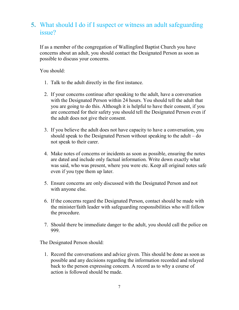### 5. What should I do if I suspect or witness an adult safeguarding issue?

If as a member of the congregation of Wallingford Baptist Church you have concerns about an adult, you should contact the Designated Person as soon as possible to discuss your concerns.

You should:

- 1. Talk to the adult directly in the first instance.
- 2. If your concerns continue after speaking to the adult, have a conversation with the Designated Person within 24 hours. You should tell the adult that you are going to do this. Although it is helpful to have their consent, if you are concerned for their safety you should tell the Designated Person even if the adult does not give their consent.
- 3. If you believe the adult does not have capacity to have a conversation, you should speak to the Designated Person without speaking to the adult – do not speak to their carer.
- 4. Make notes of concerns or incidents as soon as possible, ensuring the notes are dated and include only factual information. Write down exactly what was said, who was present, where you were etc. Keep all original notes safe even if you type them up later.
- 5. Ensure concerns are only discussed with the Designated Person and not with anyone else.
- 6. If the concerns regard the Designated Person, contact should be made with the minister/faith leader with safeguarding responsibilities who will follow the procedure.
- 7. Should there be immediate danger to the adult, you should call the police on 999.

The Designated Person should:

1. Record the conversations and advice given. This should be done as soon as possible and any decisions regarding the information recorded and relayed back to the person expressing concern. A record as to why a course of action is followed should be made.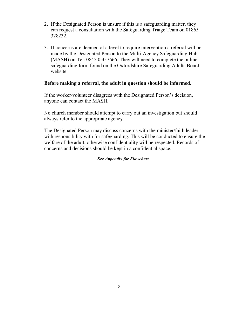- 2. If the Designated Person is unsure if this is a safeguarding matter, they can request a consultation with the Safeguarding Triage Team on 01865 328232.
- 3. If concerns are deemed of a level to require intervention a referral will be made by the Designated Person to the Multi-Agency Safeguarding Hub (MASH) on Tel: 0845 050 7666. They will need to complete the online safeguarding form found on the Oxfordshire Safeguarding Adults Board website.

#### Before making a referral, the adult in question should be informed.

If the worker/volunteer disagrees with the Designated Person's decision, anyone can contact the MASH.

No church member should attempt to carry out an investigation but should always refer to the appropriate agency.

The Designated Person may discuss concerns with the minister/faith leader with responsibility with for safeguarding. This will be conducted to ensure the welfare of the adult, otherwise confidentiality will be respected. Records of concerns and decisions should be kept in a confidential space.

#### See Appendix for Flowchart.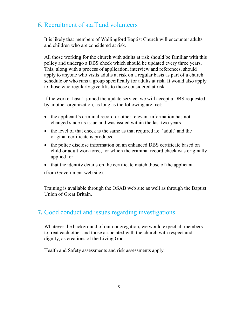### 6. Recruitment of staff and volunteers

It is likely that members of Wallingford Baptist Church will encounter adults and children who are considered at risk.

All those working for the church with adults at risk should be familiar with this policy and undergo a DBS check which should be updated every three years. This, along with a process of application, interview and references, should apply to anyone who visits adults at risk on a regular basis as part of a church schedule or who runs a group specifically for adults at risk. It would also apply to those who regularly give lifts to those considered at risk.

If the worker hasn't joined the update service, we will accept a DBS requested by another organization, as long as the following are met:

- the applicant's criminal record or other relevant information has not changed since its issue and was issued within the last two years
- the level of that check is the same as that required i.e. 'adult' and the original certificate is produced
- the police disclose information on an enhanced DBS certificate based on child or adult workforce, for which the criminal record check was originally applied for
- that the identity details on the certificate match those of the applicant.

(from Government web site).

Training is available through the OSAB web site as well as through the Baptist Union of Great Britain.

### 7. Good conduct and issues regarding investigations

Whatever the background of our congregation, we would expect all members to treat each other and those associated with the church with respect and dignity, as creations of the Living God.

Health and Safety assessments and risk assessments apply.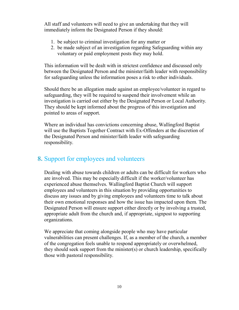All staff and volunteers will need to give an undertaking that they will immediately inform the Designated Person if they should:

- 1. be subject to criminal investigation for any matter or
- 2. be made subject of an investigation regarding Safeguarding within any voluntary or paid employment posts they may hold.

This information will be dealt with in strictest confidence and discussed only between the Designated Person and the minister/faith leader with responsibility for safeguarding unless the information poses a risk to other individuals.

Should there be an allegation made against an employee/volunteer in regard to safeguarding, they will be required to suspend their involvement while an investigation is carried out either by the Designated Person or Local Authority. They should be kept informed about the progress of this investigation and pointed to areas of support.

Where an individual has convictions concerning abuse, Wallingford Baptist will use the Baptists Together Contract with Ex-Offenders at the discretion of the Designated Person and minister/faith leader with safeguarding responsibility.

### 8. Support for employees and volunteers

Dealing with abuse towards children or adults can be difficult for workers who are involved. This may be especially difficult if the worker/volunteer has experienced abuse themselves. Wallingford Baptist Church will support employees and volunteers in this situation by providing opportunities to discuss any issues and by giving employees and volunteers time to talk about their own emotional responses and how the issue has impacted upon them. The Designated Person will ensure support either directly or by involving a trusted, appropriate adult from the church and, if appropriate, signpost to supporting organizations.

We appreciate that coming alongside people who may have particular vulnerabilities can present challenges. If, as a member of the church, a member of the congregation feels unable to respond appropriately or overwhelmed, they should seek support from the minister(s) or church leadership, specifically those with pastoral responsibility.